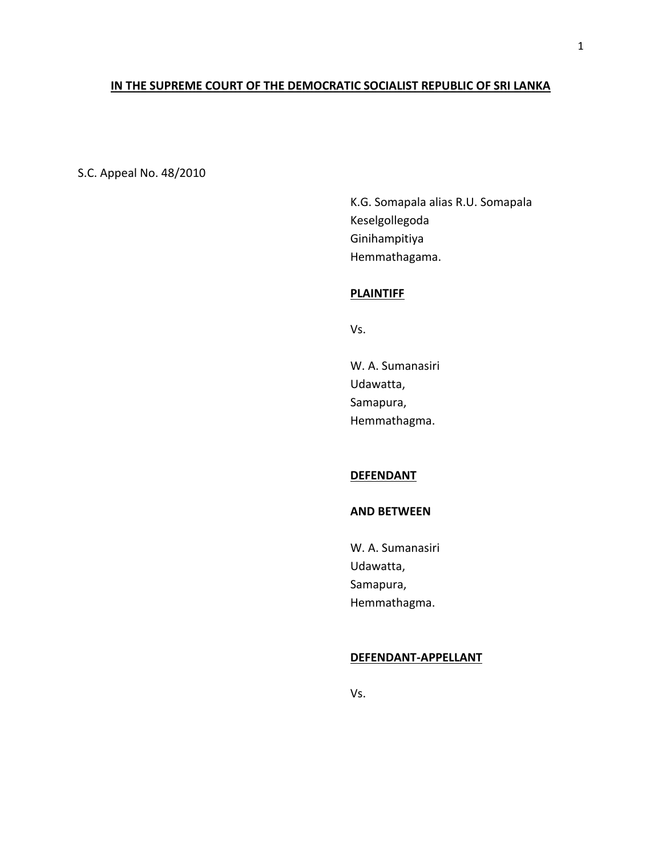# **IN THE SUPREME COURT OF THE DEMOCRATIC SOCIALIST REPUBLIC OF SRI LANKA**

S.C. Appeal No. 48/2010

K.G. Somapala alias R.U. Somapala Keselgollegoda Ginihampitiya Hemmathagama.

# **PLAINTIFF**

Vs.

W. A. Sumanasiri Udawatta, Samapura, Hemmathagma.

# **DEFENDANT**

### **AND BETWEEN**

W. A. Sumanasiri Udawatta, Samapura, Hemmathagma.

# **DEFENDANT-APPELLANT**

Vs.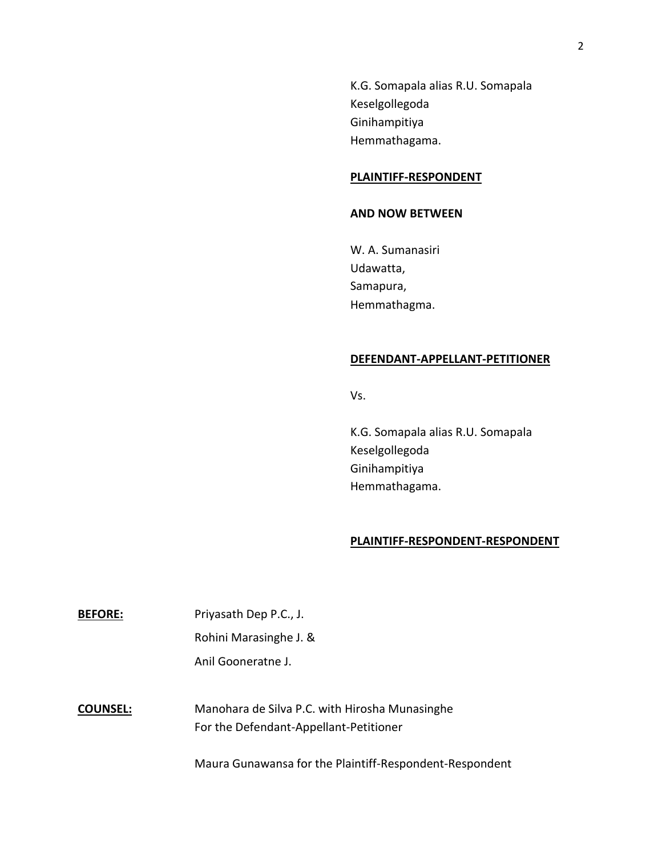K.G. Somapala alias R.U. Somapala Keselgollegoda Ginihampitiya Hemmathagama.

### **PLAINTIFF-RESPONDENT**

### **AND NOW BETWEEN**

W. A. Sumanasiri Udawatta, Samapura, Hemmathagma.

# **DEFENDANT-APPELLANT-PETITIONER**

Vs.

K.G. Somapala alias R.U. Somapala Keselgollegoda Ginihampitiya Hemmathagama.

### **PLAINTIFF-RESPONDENT-RESPONDENT**

| <b>BEFORE:</b>  | Priyasath Dep P.C., J.                                                                   |
|-----------------|------------------------------------------------------------------------------------------|
|                 | Rohini Marasinghe J. &                                                                   |
|                 | Anil Gooneratne J.                                                                       |
|                 |                                                                                          |
| <b>COUNSEL:</b> | Manohara de Silva P.C. with Hirosha Munasinghe<br>For the Defendant-Appellant-Petitioner |

Maura Gunawansa for the Plaintiff-Respondent-Respondent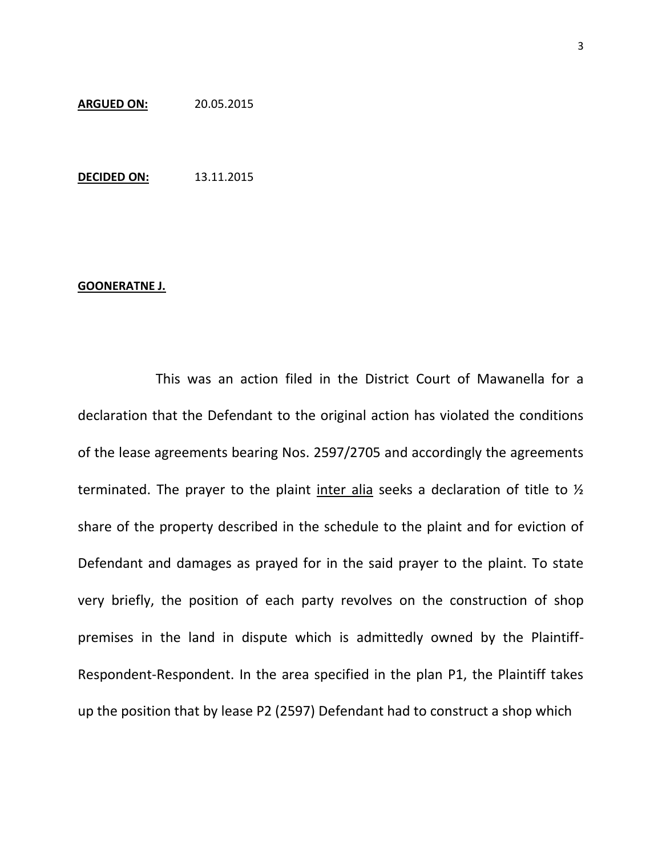#### **ARGUED ON:** 20.05.2015

**DECIDED ON:** 13.11.2015

# **GOONERATNE J.**

This was an action filed in the District Court of Mawanella for a declaration that the Defendant to the original action has violated the conditions of the lease agreements bearing Nos. 2597/2705 and accordingly the agreements terminated. The prayer to the plaint inter alia seeks a declaration of title to ½ share of the property described in the schedule to the plaint and for eviction of Defendant and damages as prayed for in the said prayer to the plaint. To state very briefly, the position of each party revolves on the construction of shop premises in the land in dispute which is admittedly owned by the Plaintiff-Respondent-Respondent. In the area specified in the plan P1, the Plaintiff takes up the position that by lease P2 (2597) Defendant had to construct a shop which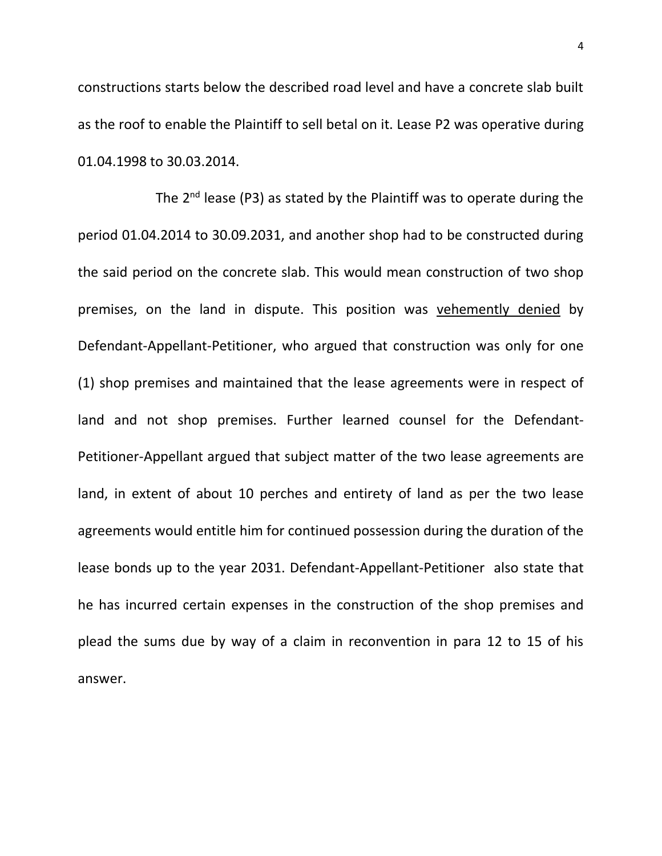constructions starts below the described road level and have a concrete slab built as the roof to enable the Plaintiff to sell betal on it. Lease P2 was operative during 01.04.1998 to 30.03.2014.

The  $2^{nd}$  lease (P3) as stated by the Plaintiff was to operate during the period 01.04.2014 to 30.09.2031, and another shop had to be constructed during the said period on the concrete slab. This would mean construction of two shop premises, on the land in dispute. This position was vehemently denied by Defendant-Appellant-Petitioner, who argued that construction was only for one (1) shop premises and maintained that the lease agreements were in respect of land and not shop premises. Further learned counsel for the Defendant-Petitioner-Appellant argued that subject matter of the two lease agreements are land, in extent of about 10 perches and entirety of land as per the two lease agreements would entitle him for continued possession during the duration of the lease bonds up to the year 2031. Defendant-Appellant-Petitioner also state that he has incurred certain expenses in the construction of the shop premises and plead the sums due by way of a claim in reconvention in para 12 to 15 of his answer.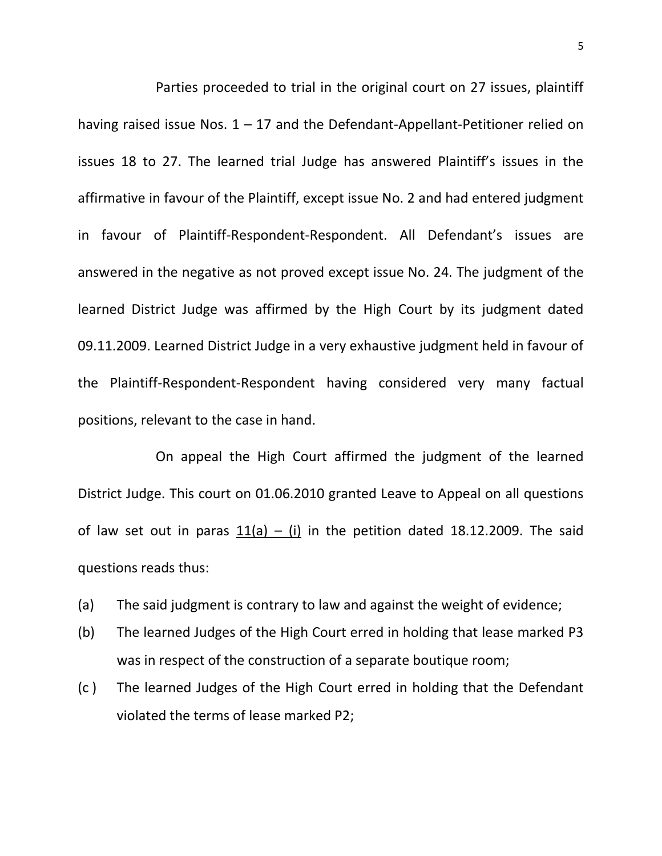Parties proceeded to trial in the original court on 27 issues, plaintiff having raised issue Nos.  $1 - 17$  and the Defendant-Appellant-Petitioner relied on issues 18 to 27. The learned trial Judge has answered Plaintiff's issues in the affirmative in favour of the Plaintiff, except issue No. 2 and had entered judgment in favour of Plaintiff-Respondent-Respondent. All Defendant's issues are answered in the negative as not proved except issue No. 24. The judgment of the learned District Judge was affirmed by the High Court by its judgment dated 09.11.2009. Learned District Judge in a very exhaustive judgment held in favour of the Plaintiff-Respondent-Respondent having considered very many factual positions, relevant to the case in hand.

On appeal the High Court affirmed the judgment of the learned District Judge. This court on 01.06.2010 granted Leave to Appeal on all questions of law set out in paras  $11(a) - (i)$  in the petition dated 18.12.2009. The said questions reads thus:

- (a) The said judgment is contrary to law and against the weight of evidence;
- (b) The learned Judges of the High Court erred in holding that lease marked P3 was in respect of the construction of a separate boutique room;
- (c ) The learned Judges of the High Court erred in holding that the Defendant violated the terms of lease marked P2;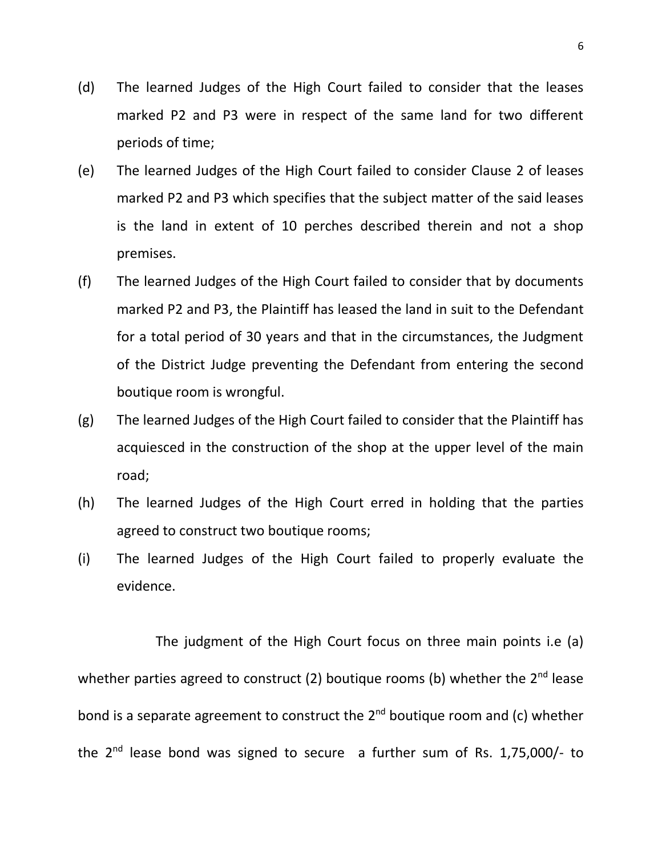- (d) The learned Judges of the High Court failed to consider that the leases marked P2 and P3 were in respect of the same land for two different periods of time;
- (e) The learned Judges of the High Court failed to consider Clause 2 of leases marked P2 and P3 which specifies that the subject matter of the said leases is the land in extent of 10 perches described therein and not a shop premises.
- (f) The learned Judges of the High Court failed to consider that by documents marked P2 and P3, the Plaintiff has leased the land in suit to the Defendant for a total period of 30 years and that in the circumstances, the Judgment of the District Judge preventing the Defendant from entering the second boutique room is wrongful.
- (g) The learned Judges of the High Court failed to consider that the Plaintiff has acquiesced in the construction of the shop at the upper level of the main road;
- (h) The learned Judges of the High Court erred in holding that the parties agreed to construct two boutique rooms;
- (i) The learned Judges of the High Court failed to properly evaluate the evidence.

 The judgment of the High Court focus on three main points i.e (a) whether parties agreed to construct (2) boutique rooms (b) whether the  $2^{nd}$  lease bond is a separate agreement to construct the 2<sup>nd</sup> boutique room and (c) whether the  $2^{nd}$  lease bond was signed to secure a further sum of Rs. 1,75,000/- to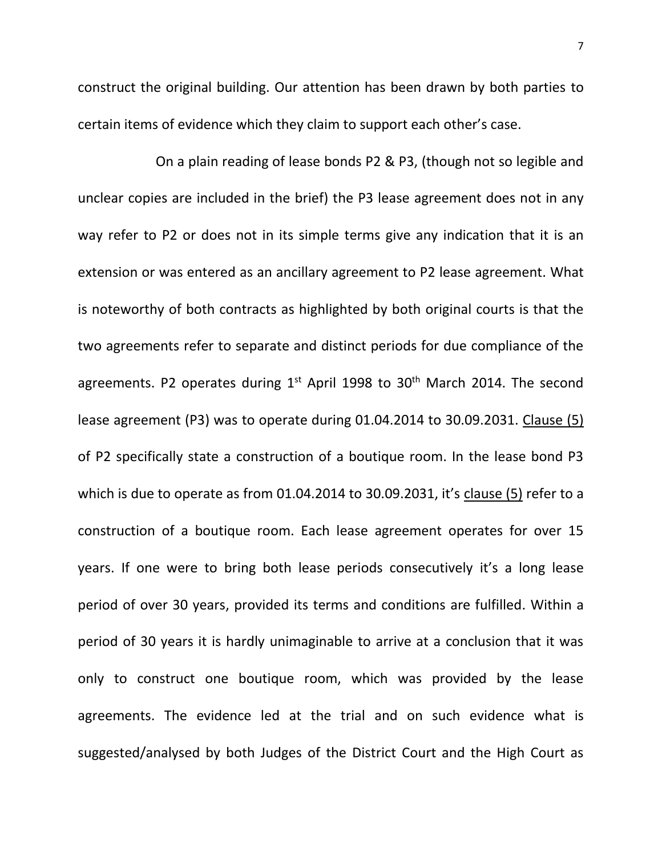construct the original building. Our attention has been drawn by both parties to certain items of evidence which they claim to support each other's case.

On a plain reading of lease bonds P2 & P3, (though not so legible and unclear copies are included in the brief) the P3 lease agreement does not in any way refer to P2 or does not in its simple terms give any indication that it is an extension or was entered as an ancillary agreement to P2 lease agreement. What is noteworthy of both contracts as highlighted by both original courts is that the two agreements refer to separate and distinct periods for due compliance of the agreements. P2 operates during  $1<sup>st</sup>$  April 1998 to 30<sup>th</sup> March 2014. The second lease agreement (P3) was to operate during 01.04.2014 to 30.09.2031. Clause (5) of P2 specifically state a construction of a boutique room. In the lease bond P3 which is due to operate as from 01.04.2014 to 30.09.2031, it's clause (5) refer to a construction of a boutique room. Each lease agreement operates for over 15 years. If one were to bring both lease periods consecutively it's a long lease period of over 30 years, provided its terms and conditions are fulfilled. Within a period of 30 years it is hardly unimaginable to arrive at a conclusion that it was only to construct one boutique room, which was provided by the lease agreements. The evidence led at the trial and on such evidence what is suggested/analysed by both Judges of the District Court and the High Court as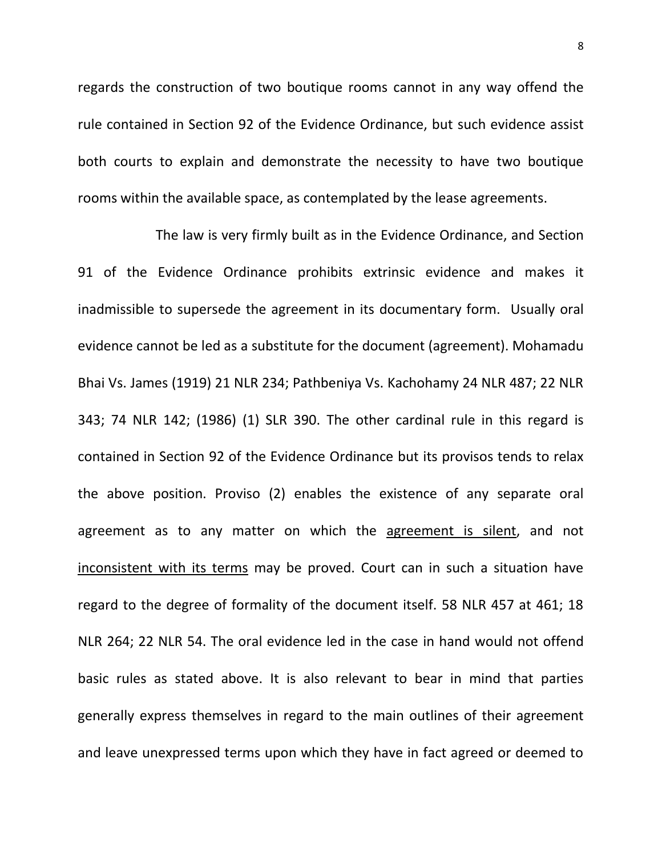regards the construction of two boutique rooms cannot in any way offend the rule contained in Section 92 of the Evidence Ordinance, but such evidence assist both courts to explain and demonstrate the necessity to have two boutique rooms within the available space, as contemplated by the lease agreements.

The law is very firmly built as in the Evidence Ordinance, and Section 91 of the Evidence Ordinance prohibits extrinsic evidence and makes it inadmissible to supersede the agreement in its documentary form. Usually oral evidence cannot be led as a substitute for the document (agreement). Mohamadu Bhai Vs. James (1919) 21 NLR 234; Pathbeniya Vs. Kachohamy 24 NLR 487; 22 NLR 343; 74 NLR 142; (1986) (1) SLR 390. The other cardinal rule in this regard is contained in Section 92 of the Evidence Ordinance but its provisos tends to relax the above position. Proviso (2) enables the existence of any separate oral agreement as to any matter on which the agreement is silent, and not inconsistent with its terms may be proved. Court can in such a situation have regard to the degree of formality of the document itself. 58 NLR 457 at 461; 18 NLR 264; 22 NLR 54. The oral evidence led in the case in hand would not offend basic rules as stated above. It is also relevant to bear in mind that parties generally express themselves in regard to the main outlines of their agreement and leave unexpressed terms upon which they have in fact agreed or deemed to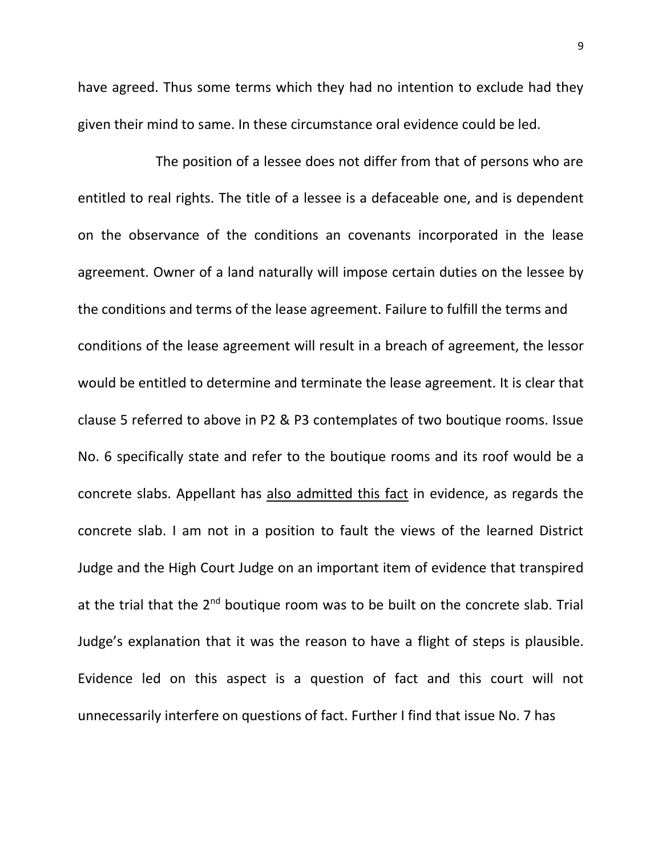have agreed. Thus some terms which they had no intention to exclude had they given their mind to same. In these circumstance oral evidence could be led.

The position of a lessee does not differ from that of persons who are entitled to real rights. The title of a lessee is a defaceable one, and is dependent on the observance of the conditions an covenants incorporated in the lease agreement. Owner of a land naturally will impose certain duties on the lessee by the conditions and terms of the lease agreement. Failure to fulfill the terms and conditions of the lease agreement will result in a breach of agreement, the lessor would be entitled to determine and terminate the lease agreement. It is clear that clause 5 referred to above in P2 & P3 contemplates of two boutique rooms. Issue No. 6 specifically state and refer to the boutique rooms and its roof would be a concrete slabs. Appellant has also admitted this fact in evidence, as regards the concrete slab. I am not in a position to fault the views of the learned District Judge and the High Court Judge on an important item of evidence that transpired at the trial that the  $2<sup>nd</sup>$  boutique room was to be built on the concrete slab. Trial Judge's explanation that it was the reason to have a flight of steps is plausible. Evidence led on this aspect is a question of fact and this court will not unnecessarily interfere on questions of fact. Further I find that issue No. 7 has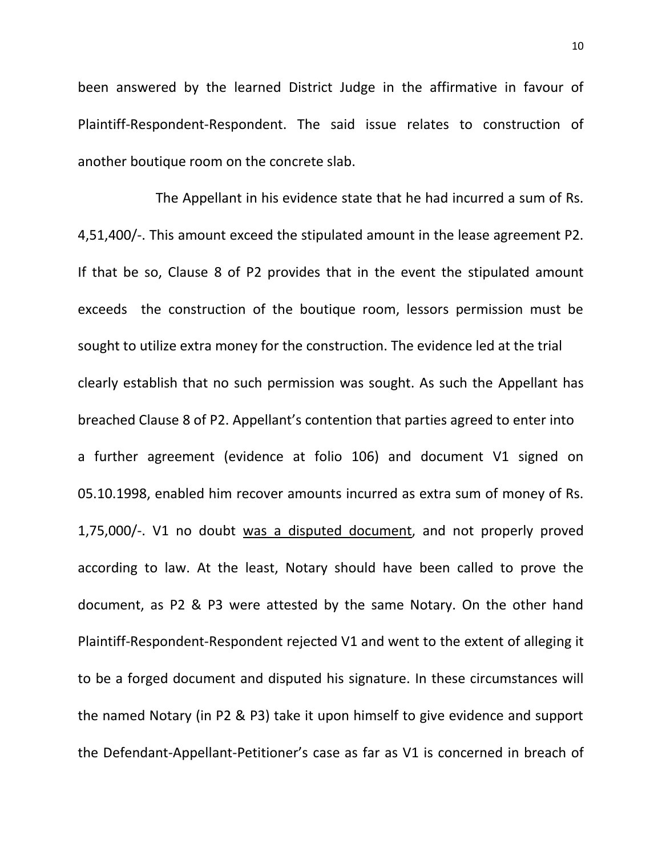been answered by the learned District Judge in the affirmative in favour of Plaintiff-Respondent-Respondent. The said issue relates to construction of another boutique room on the concrete slab.

The Appellant in his evidence state that he had incurred a sum of Rs. 4,51,400/-. This amount exceed the stipulated amount in the lease agreement P2. If that be so, Clause 8 of P2 provides that in the event the stipulated amount exceeds the construction of the boutique room, lessors permission must be sought to utilize extra money for the construction. The evidence led at the trial clearly establish that no such permission was sought. As such the Appellant has breached Clause 8 of P2. Appellant's contention that parties agreed to enter into a further agreement (evidence at folio 106) and document V1 signed on 05.10.1998, enabled him recover amounts incurred as extra sum of money of Rs. 1,75,000/-. V1 no doubt was a disputed document, and not properly proved according to law. At the least, Notary should have been called to prove the document, as P2 & P3 were attested by the same Notary. On the other hand Plaintiff-Respondent-Respondent rejected V1 and went to the extent of alleging it to be a forged document and disputed his signature. In these circumstances will the named Notary (in P2 & P3) take it upon himself to give evidence and support the Defendant-Appellant-Petitioner's case as far as V1 is concerned in breach of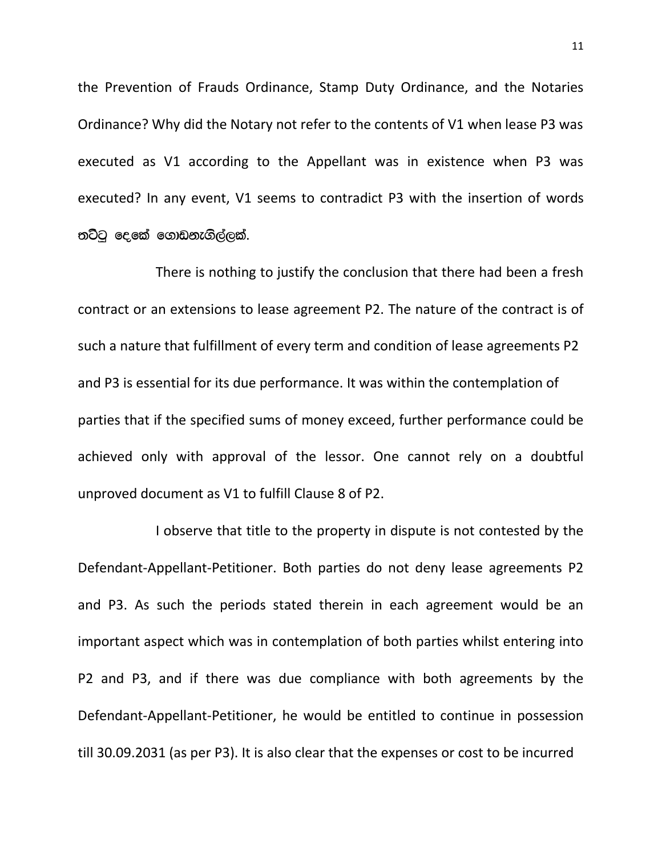the Prevention of Frauds Ordinance, Stamp Duty Ordinance, and the Notaries Ordinance? Why did the Notary not refer to the contents of V1 when lease P3 was executed as V1 according to the Appellant was in existence when P3 was executed? In any event, V1 seems to contradict P3 with the insertion of words තට්ටු දෙකේ ගොඩනැගිල්ලක්.

There is nothing to justify the conclusion that there had been a fresh contract or an extensions to lease agreement P2. The nature of the contract is of such a nature that fulfillment of every term and condition of lease agreements P2 and P3 is essential for its due performance. It was within the contemplation of parties that if the specified sums of money exceed, further performance could be achieved only with approval of the lessor. One cannot rely on a doubtful unproved document as V1 to fulfill Clause 8 of P2.

I observe that title to the property in dispute is not contested by the Defendant-Appellant-Petitioner. Both parties do not deny lease agreements P2 and P3. As such the periods stated therein in each agreement would be an important aspect which was in contemplation of both parties whilst entering into P2 and P3, and if there was due compliance with both agreements by the Defendant-Appellant-Petitioner, he would be entitled to continue in possession till 30.09.2031 (as per P3). It is also clear that the expenses or cost to be incurred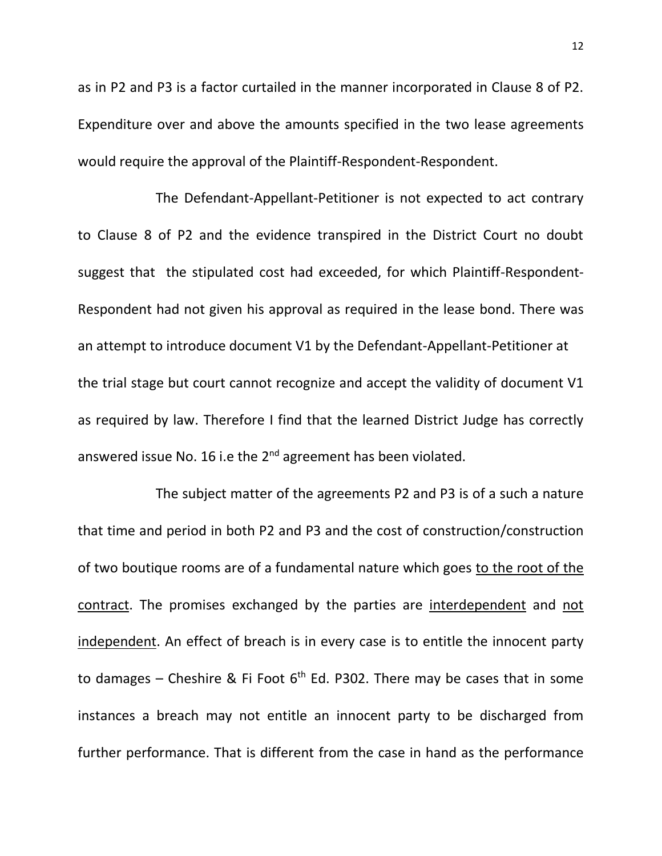as in P2 and P3 is a factor curtailed in the manner incorporated in Clause 8 of P2. Expenditure over and above the amounts specified in the two lease agreements would require the approval of the Plaintiff-Respondent-Respondent.

The Defendant-Appellant-Petitioner is not expected to act contrary to Clause 8 of P2 and the evidence transpired in the District Court no doubt suggest that the stipulated cost had exceeded, for which Plaintiff-Respondent-Respondent had not given his approval as required in the lease bond. There was an attempt to introduce document V1 by the Defendant-Appellant-Petitioner at the trial stage but court cannot recognize and accept the validity of document V1 as required by law. Therefore I find that the learned District Judge has correctly answered issue No. 16 i.e the 2<sup>nd</sup> agreement has been violated.

The subject matter of the agreements P2 and P3 is of a such a nature that time and period in both P2 and P3 and the cost of construction/construction of two boutique rooms are of a fundamental nature which goes to the root of the contract. The promises exchanged by the parties are interdependent and not independent. An effect of breach is in every case is to entitle the innocent party to damages – Cheshire & Fi Foot  $6<sup>th</sup>$  Ed. P302. There may be cases that in some instances a breach may not entitle an innocent party to be discharged from further performance. That is different from the case in hand as the performance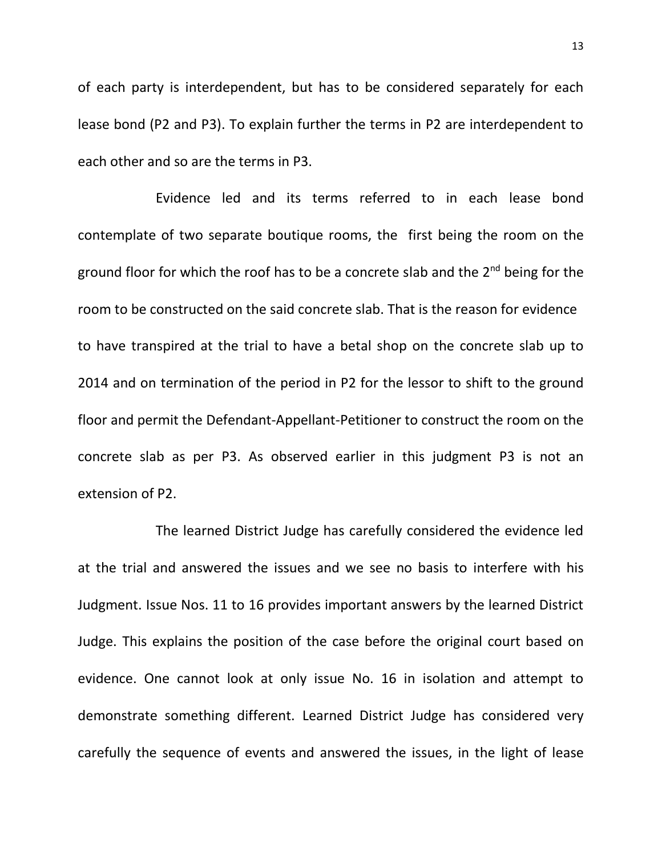of each party is interdependent, but has to be considered separately for each lease bond (P2 and P3). To explain further the terms in P2 are interdependent to each other and so are the terms in P3.

Evidence led and its terms referred to in each lease bond contemplate of two separate boutique rooms, the first being the room on the ground floor for which the roof has to be a concrete slab and the 2<sup>nd</sup> being for the room to be constructed on the said concrete slab. That is the reason for evidence to have transpired at the trial to have a betal shop on the concrete slab up to 2014 and on termination of the period in P2 for the lessor to shift to the ground floor and permit the Defendant-Appellant-Petitioner to construct the room on the concrete slab as per P3. As observed earlier in this judgment P3 is not an extension of P2.

The learned District Judge has carefully considered the evidence led at the trial and answered the issues and we see no basis to interfere with his Judgment. Issue Nos. 11 to 16 provides important answers by the learned District Judge. This explains the position of the case before the original court based on evidence. One cannot look at only issue No. 16 in isolation and attempt to demonstrate something different. Learned District Judge has considered very carefully the sequence of events and answered the issues, in the light of lease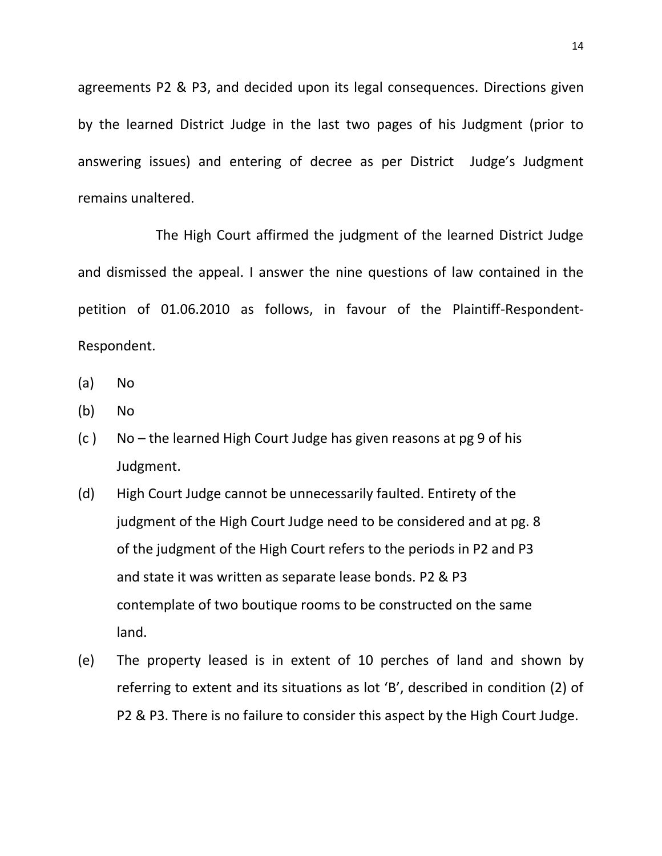agreements P2 & P3, and decided upon its legal consequences. Directions given by the learned District Judge in the last two pages of his Judgment (prior to answering issues) and entering of decree as per District Judge's Judgment remains unaltered.

The High Court affirmed the judgment of the learned District Judge and dismissed the appeal. I answer the nine questions of law contained in the petition of 01.06.2010 as follows, in favour of the Plaintiff-Respondent-Respondent.

- (a) No
- (b) No
- (c ) No the learned High Court Judge has given reasons at pg 9 of his Judgment.
- (d) High Court Judge cannot be unnecessarily faulted. Entirety of the judgment of the High Court Judge need to be considered and at pg. 8 of the judgment of the High Court refers to the periods in P2 and P3 and state it was written as separate lease bonds. P2 & P3 contemplate of two boutique rooms to be constructed on the same land.
- (e) The property leased is in extent of 10 perches of land and shown by referring to extent and its situations as lot 'B', described in condition (2) of P2 & P3. There is no failure to consider this aspect by the High Court Judge.